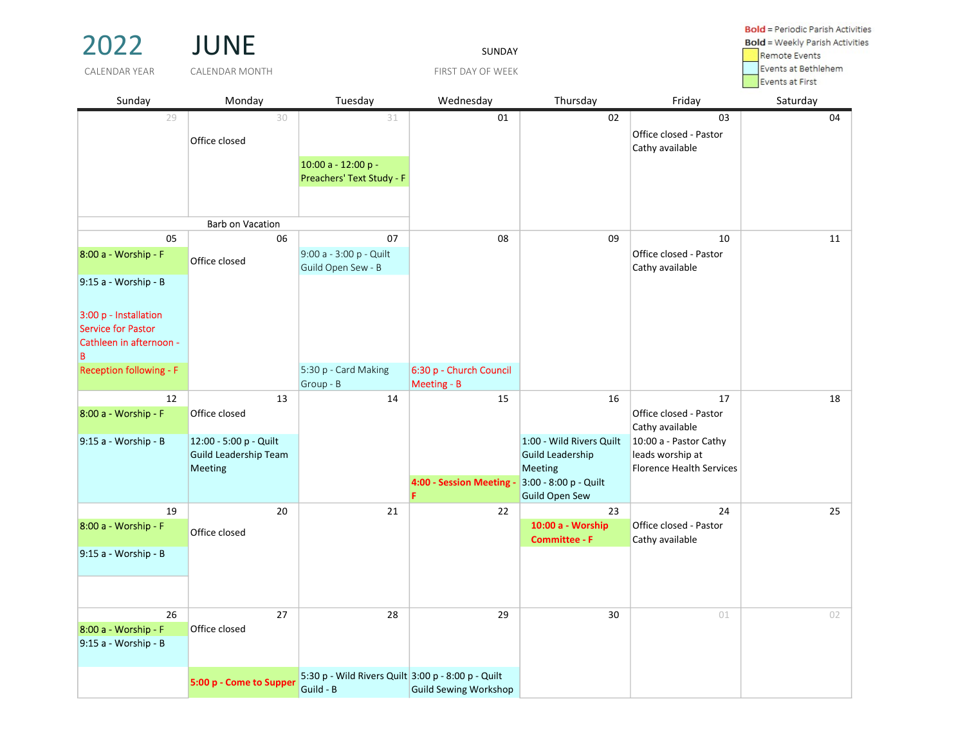| 2022                                                                        | <b>JUNE</b>                                                       | <b>Bold</b> = Weekly Parish Activities<br><b>Remote Events</b>  |                                        |                                                                                                                  |                                                                               |          |
|-----------------------------------------------------------------------------|-------------------------------------------------------------------|-----------------------------------------------------------------|----------------------------------------|------------------------------------------------------------------------------------------------------------------|-------------------------------------------------------------------------------|----------|
| CALENDAR YEAR                                                               | <b>CALENDAR MONTH</b>                                             |                                                                 | Events at Bethlehem<br>Events at First |                                                                                                                  |                                                                               |          |
| Sunday                                                                      | Monday                                                            | Tuesday                                                         | Wednesday                              | Thursday                                                                                                         | Friday                                                                        | Saturday |
| 29                                                                          | 30<br>Office closed                                               | 31<br>10:00 a - 12:00 p -<br>Preachers' Text Study - F          | 01                                     | 02                                                                                                               | 03<br>Office closed - Pastor<br>Cathy available                               | 04       |
|                                                                             | <b>Barb on Vacation</b>                                           |                                                                 |                                        |                                                                                                                  |                                                                               |          |
| 05<br>8:00 a - Worship - F<br>$9:15$ a - Worship - B                        | 06<br>Office closed                                               | 07<br>9:00 a - 3:00 p - Quilt<br>Guild Open Sew - B             | 08                                     | 09                                                                                                               | 10<br>Office closed - Pastor<br>Cathy available                               | 11       |
| 3:00 p - Installation<br>Service for Pastor<br>Cathleen in afternoon -<br>B |                                                                   |                                                                 |                                        |                                                                                                                  |                                                                               |          |
| <b>Reception following - F</b>                                              |                                                                   | 5:30 p - Card Making<br>Group - B                               | 6:30 p - Church Council<br>Meeting - B |                                                                                                                  |                                                                               |          |
| 12<br>8:00 a - Worship - F                                                  | 13<br>Office closed                                               | 14                                                              | 15                                     | 16                                                                                                               | 17<br>Office closed - Pastor<br>Cathy available                               | 18       |
| 9:15 a - Worship - B                                                        | 12:00 - 5:00 p - Quilt<br><b>Guild Leadership Team</b><br>Meeting |                                                                 | 4:00 - Session Meeting -               | 1:00 - Wild Rivers Quilt<br><b>Guild Leadership</b><br>Meeting<br>3:00 - 8:00 p - Quilt<br><b>Guild Open Sew</b> | 10:00 a - Pastor Cathy<br>leads worship at<br><b>Florence Health Services</b> |          |
| 19<br>8:00 a - Worship - F                                                  | 20<br>Office closed                                               | 21                                                              | 22                                     | 23<br>10:00 a - Worship<br><b>Committee - F</b>                                                                  | 24<br>Office closed - Pastor<br>Cathy available                               | 25       |
| $9:15$ a - Worship - B                                                      |                                                                   |                                                                 |                                        |                                                                                                                  |                                                                               |          |
| 26<br>8:00 a - Worship - F<br>9:15 a - Worship - B                          | 27<br>Office closed                                               | 28                                                              | 29                                     | 30                                                                                                               | 01                                                                            | 02       |
|                                                                             | 5:00 p - Come to Supper                                           | 5:30 p - Wild Rivers Quilt 3:00 p - 8:00 p - Quilt<br>Guild - B | <b>Guild Sewing Workshop</b>           |                                                                                                                  |                                                                               |          |

**Bold** = Periodic Parish Activities